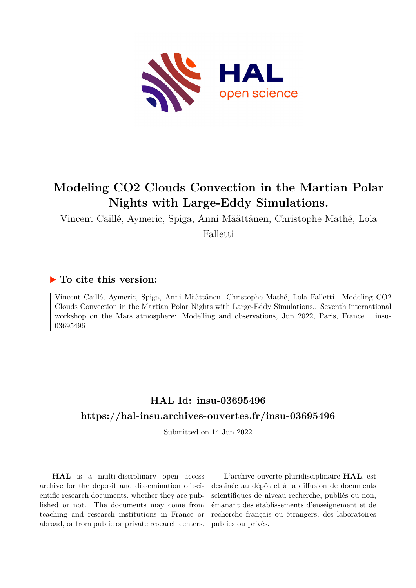

# **Modeling CO2 Clouds Convection in the Martian Polar Nights with Large-Eddy Simulations.**

Vincent Caillé, Aymeric, Spiga, Anni Määttänen, Christophe Mathé, Lola

Falletti

## **To cite this version:**

Vincent Caillé, Aymeric, Spiga, Anni Määttänen, Christophe Mathé, Lola Falletti. Modeling CO2 Clouds Convection in the Martian Polar Nights with Large-Eddy Simulations.. Seventh international workshop on the Mars atmosphere: Modelling and observations, Jun 2022, Paris, France. insu-03695496

## **HAL Id: insu-03695496 <https://hal-insu.archives-ouvertes.fr/insu-03695496>**

Submitted on 14 Jun 2022

**HAL** is a multi-disciplinary open access archive for the deposit and dissemination of scientific research documents, whether they are published or not. The documents may come from teaching and research institutions in France or abroad, or from public or private research centers.

L'archive ouverte pluridisciplinaire **HAL**, est destinée au dépôt et à la diffusion de documents scientifiques de niveau recherche, publiés ou non, émanant des établissements d'enseignement et de recherche français ou étrangers, des laboratoires publics ou privés.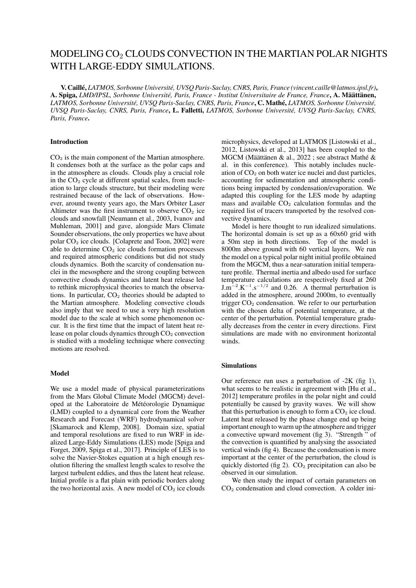### MODELING CO<sup>2</sup> CLOUDS CONVECTION IN THE MARTIAN POLAR NIGHTS WITH LARGE-EDDY SIMULATIONS.

V. Caillé, *LATMOS, Sorbonne Université, UVSQ Paris-Saclay, CNRS, Paris, France (vincent.caille@latmos.ipsl.fr)*, A. Spiga, *LMD/IPSL, Sorbonne Université, Paris, France - Institut Universitaire de France, France*, A. Määttänen, *LATMOS, Sorbonne Université, UVSQ Paris-Saclay, CNRS, Paris, France*, C. Mathé, *LATMOS, Sorbonne Université, UVSQ Paris-Saclay, CNRS, Paris, France*, L. Falletti, *LATMOS, Sorbonne Université, UVSQ Paris-Saclay, CNRS, Paris, France*.

#### Introduction

 $CO<sub>2</sub>$  is the main component of the Martian atmosphere. It condenses both at the surface as the polar caps and in the atmosphere as clouds. Clouds play a crucial role in the  $CO<sub>2</sub>$  cycle at different spatial scales, from nucleation to large clouds structure, but their modeling were restrained because of the lack of observations. However, around twenty years ago, the Mars Orbiter Laser Altimeter was the first instrument to observe  $CO<sub>2</sub>$  ice clouds and snowfall [Neumann et al., 2003, Ivanov and Muhleman, 2001] and gave, alongside Mars Climate Sounder observations, the only properties we have about polar  $CO<sub>2</sub>$  ice clouds. [Colaprete and Toon, 2002] were able to determine  $CO<sub>2</sub>$  ice clouds formation processes and required atmospheric conditions but did not study clouds dynamics. Both the scarcity of condensation nuclei in the mesosphere and the strong coupling between convective clouds dynamics and latent heat release led to rethink microphysical theories to match the observations. In particular,  $CO<sub>2</sub>$  theories should be adapted to the Martian atmosphere. Modeling convective clouds also imply that we need to use a very high resolution model due to the scale at which some phenomenon occur. It is the first time that the impact of latent heat release on polar clouds dynamics through  $CO<sub>2</sub>$  convection is studied with a modeling technique where convecting motions are resolved.

#### Model

We use a model made of physical parameterizations from the Mars Global Climate Model (MGCM) developed at the Laboratoire de Météorologie Dynamique (LMD) coupled to a dynamical core from the Weather Research and Forecast (WRF) hydrodynamical solver [Skamarock and Klemp, 2008]. Domain size, spatial and temporal resolutions are fixed to run WRF in idealized Large-Eddy Simulations (LES) mode [Spiga and Forget, 2009, Spiga et al., 2017]. Principle of LES is to solve the Navier-Stokes equation at a high enough resolution filtering the smallest length scales to resolve the largest turbulent eddies, and thus the latent heat release. Initial profile is a flat plain with periodic borders along the two horizontal axis. A new model of  $CO<sub>2</sub>$  ice clouds microphysics, developed at LATMOS [Listowski et al., 2012, Listowski et al., 2013] has been coupled to the MGCM (Määttänen & al., 2022 ; see abstract Mathé & al. in this conference). This notably includes nucleation of  $CO<sub>2</sub>$  on both water ice nuclei and dust particles, accounting for sedimentation and atmospheric conditions being impacted by condensation/evaporation. We adapted this coupling for the LES mode by adapting mass and available  $CO<sub>2</sub>$  calculation formulas and the required list of tracers transported by the resolved convective dynamics.

Model is here thought to run idealized simulations. The horizontal domain is set up as a 60x60 grid with a 50m step in both directions. Top of the model is 8000m above ground with 60 vertical layers. We run the model on a typical polar night initial profile obtained from the MGCM, thus a near-saturation initial temperature profile. Thermal inertia and albedo used for surface temperature calculations are respectively fixed at 260  $J.m^{-2}$ .K<sup>-1</sup>.s<sup>-1/2</sup> and 0.26. A thermal perturbation is added in the atmosphere, around 2000m, to eventually trigger  $CO<sub>2</sub>$  condensation. We refer to our perturbation with the chosen delta of potential temperature, at the center of the perturbation. Potential temperature gradually decreases from the center in every directions. First simulations are made with no environment horizontal winds.

#### Simulations

Our reference run uses a perturbation of -2K (fig 1), what seems to be realistic in agreement with [Hu et al., 2012] temperature profiles in the polar night and could potentially be caused by gravity waves. We will show that this perturbation is enough to form a  $CO<sub>2</sub>$  ice cloud. Latent heat released by the phase change end up being important enough to warm up the atmosphere and trigger a convective upward movement (fig 3). "Strength " of the convection is quantified by analysing the associated vertical winds (fig 4). Because the condensation is more important at the center of the perturbation, the cloud is quickly distorted (fig 2).  $CO<sub>2</sub>$  precipitation can also be observed in our simulation.

We then study the impact of certain parameters on  $CO<sub>2</sub>$  condensation and cloud convection. A colder ini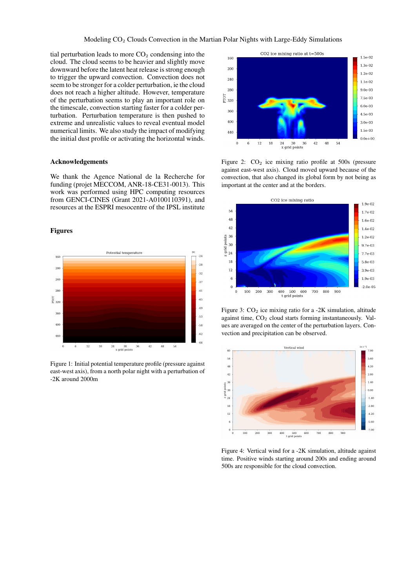tial perturbation leads to more  $CO<sub>2</sub>$  condensing into the cloud. The cloud seems to be heavier and slightly move downward before the latent heat release is strong enough to trigger the upward convection. Convection does not seem to be stronger for a colder perturbation, ie the cloud does not reach a higher altitude. However, temperature of the perturbation seems to play an important role on the timescale, convection starting faster for a colder perturbation. Perturbation temperature is then pushed to extreme and unrealistic values to reveal eventual model numerical limits. We also study the impact of modifying the initial dust profile or activating the horizontal winds.

#### Acknowledgements

We thank the Agence National de la Recherche for funding (projet MECCOM, ANR-18-CE31-0013). This work was performed using HPC computing resources from GENCI-CINES (Grant 2021-A0100110391), and resources at the ESPRI mesocentre of the IPSL institute

#### Figures



Figure 1: Initial potential temperature profile (pressure against east-west axis), from a north polar night with a perturbation of -2K around 2000m



Figure 2:  $CO<sub>2</sub>$  ice mixing ratio profile at 500s (pressure against east-west axis). Cloud moved upward because of the convection, that also changed its global form by not being as important at the center and at the borders.



Figure 3:  $CO<sub>2</sub>$  ice mixing ratio for a -2K simulation, altitude against time,  $CO<sub>2</sub>$  cloud starts forming instantaneously. Values are averaged on the center of the perturbation layers. Convection and precipitation can be observed.



Figure 4: Vertical wind for a -2K simulation, altitude against time. Positive winds starting around 200s and ending around 500s are responsible for the cloud convection.